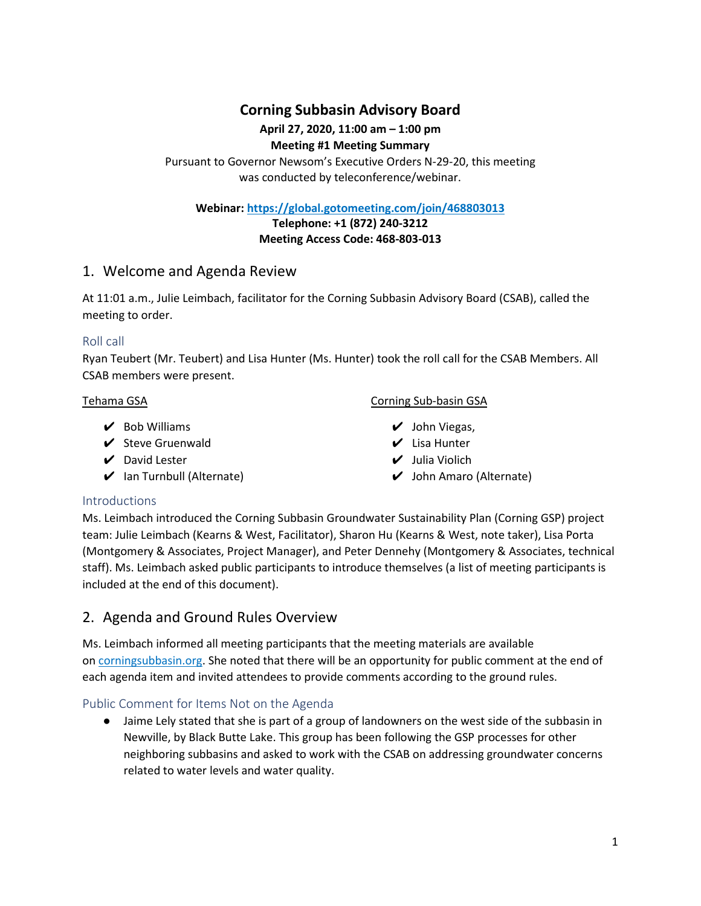## **Corning Subbasin Advisory Board**

**April 27, 2020, 11:00 am – 1:00 pm**

**Meeting #1 Meeting Summary**

Pursuant to Governor Newsom's Executive Orders N-29-20, this meeting was conducted by teleconference/webinar.

**Webinar: https://global.gotomeeting.com/join/468803013**

**Telephone: +1 (872) 240-3212**

**Meeting Access Code: 468-803-013**

## 1. Welcome and Agenda Review

At 11:01 a.m., Julie Leimbach, facilitator for the Corning Subbasin Advisory Board (CSAB), called the meeting to order.

## Roll call

Ryan Teubert (Mr. Teubert) and Lisa Hunter (Ms. Hunter) took the roll call for the CSAB Members. All CSAB members were present.

## Tehama GSA

- $\vee$  Bob Williams
- ✔ Steve Gruenwald
- $\nu$  David Lester
- $\vee$  Ian Turnbull (Alternate)

## Corning Sub-basin GSA

- $\vee$  John Viegas,
- $\mathcal V$  Lisa Hunter
- ✔ Julia Violich
- ✔ John Amaro (Alternate)

## Introductions

Ms. Leimbach introduced the Corning Subbasin Groundwater Sustainability Plan (Corning GSP) project team: Julie Leimbach (Kearns & West, Facilitator), Sharon Hu (Kearns & West, note taker), Lisa Porta (Montgomery & Associates, Project Manager), and Peter Dennehy (Montgomery & Associates, technical staff). Ms. Leimbach asked public participants to introduce themselves (a list of meeting participants is included at the end of this document).

# 2. Agenda and Ground Rules Overview

Ms. Leimbach informed all meeting participants that the meeting materials are available on corningsubbasin.org. She noted that there will be an opportunity for public comment at the end of each agenda item and invited attendees to provide comments according to the ground rules.

## Public Comment for Items Not on the Agenda

● Jaime Lely stated that she is part of a group of landowners on the west side of the subbasin in Newville, by Black Butte Lake. This group has been following the GSP processes for other neighboring subbasins and asked to work with the CSAB on addressing groundwater concerns related to water levels and water quality.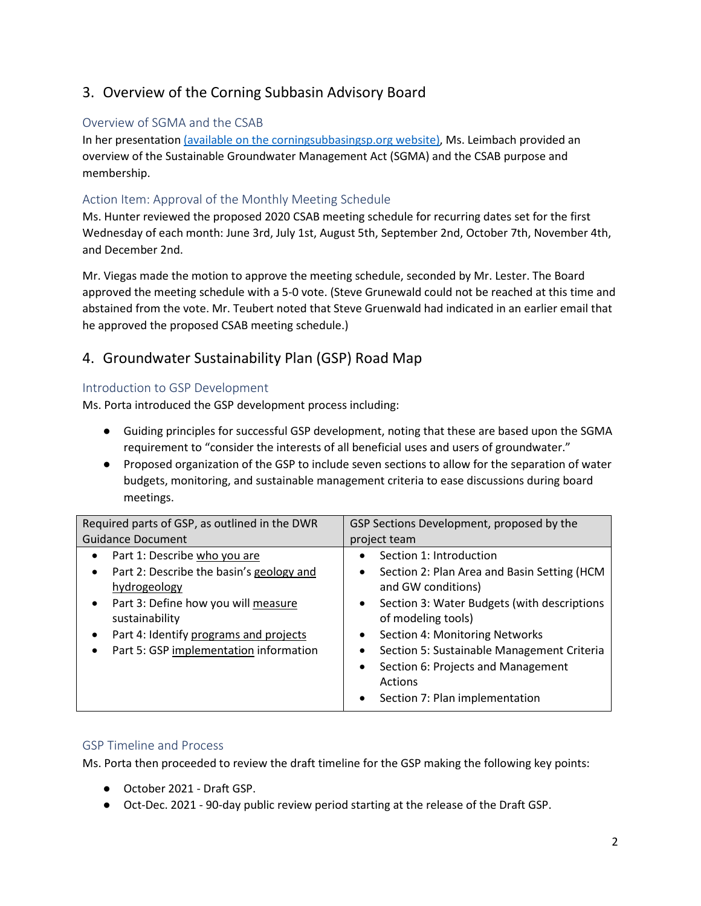# 3. Overview of the Corning Subbasin Advisory Board

## Overview of SGMA and the CSAB

In her presentation (available on the corningsubbasingsp.org website), Ms. Leimbach provided an overview of the Sustainable Groundwater Management Act (SGMA) and the CSAB purpose and membership.

## Action Item: Approval of the Monthly Meeting Schedule

Ms. Hunter reviewed the proposed 2020 CSAB meeting schedule for recurring dates set for the first Wednesday of each month: June 3rd, July 1st, August 5th, September 2nd, October 7th, November 4th, and December 2nd.

Mr. Viegas made the motion to approve the meeting schedule, seconded by Mr. Lester. The Board approved the meeting schedule with a 5-0 vote. (Steve Grunewald could not be reached at this time and abstained from the vote. Mr. Teubert noted that Steve Gruenwald had indicated in an earlier email that he approved the proposed CSAB meeting schedule.)

# 4. Groundwater Sustainability Plan (GSP) Road Map

## Introduction to GSP Development

Ms. Porta introduced the GSP development process including:

- Guiding principles for successful GSP development, noting that these are based upon the SGMA requirement to "consider the interests of all beneficial uses and users of groundwater."
- Proposed organization of the GSP to include seven sections to allow for the separation of water budgets, monitoring, and sustainable management criteria to ease discussions during board meetings.

| Required parts of GSP, as outlined in the DWR                                                                                                                                                                                                                                                  | GSP Sections Development, proposed by the                                                                                                                                                                                                                                                             |
|------------------------------------------------------------------------------------------------------------------------------------------------------------------------------------------------------------------------------------------------------------------------------------------------|-------------------------------------------------------------------------------------------------------------------------------------------------------------------------------------------------------------------------------------------------------------------------------------------------------|
| <b>Guidance Document</b>                                                                                                                                                                                                                                                                       | project team                                                                                                                                                                                                                                                                                          |
| Part 1: Describe who you are<br>$\bullet$<br>Part 2: Describe the basin's geology and<br>$\bullet$<br>hydrogeology<br>Part 3: Define how you will measure<br>$\bullet$<br>sustainability<br>Part 4: Identify programs and projects<br>$\bullet$<br>Part 5: GSP implementation information<br>٠ | Section 1: Introduction<br>Section 2: Plan Area and Basin Setting (HCM<br>$\bullet$<br>and GW conditions)<br>Section 3: Water Budgets (with descriptions<br>$\bullet$<br>of modeling tools)<br>Section 4: Monitoring Networks<br>$\bullet$<br>Section 5: Sustainable Management Criteria<br>$\bullet$ |
|                                                                                                                                                                                                                                                                                                | Section 6: Projects and Management<br>$\bullet$<br>Actions<br>Section 7: Plan implementation                                                                                                                                                                                                          |

## GSP Timeline and Process

Ms. Porta then proceeded to review the draft timeline for the GSP making the following key points:

- October 2021 Draft GSP.
- Oct-Dec. 2021 90-day public review period starting at the release of the Draft GSP.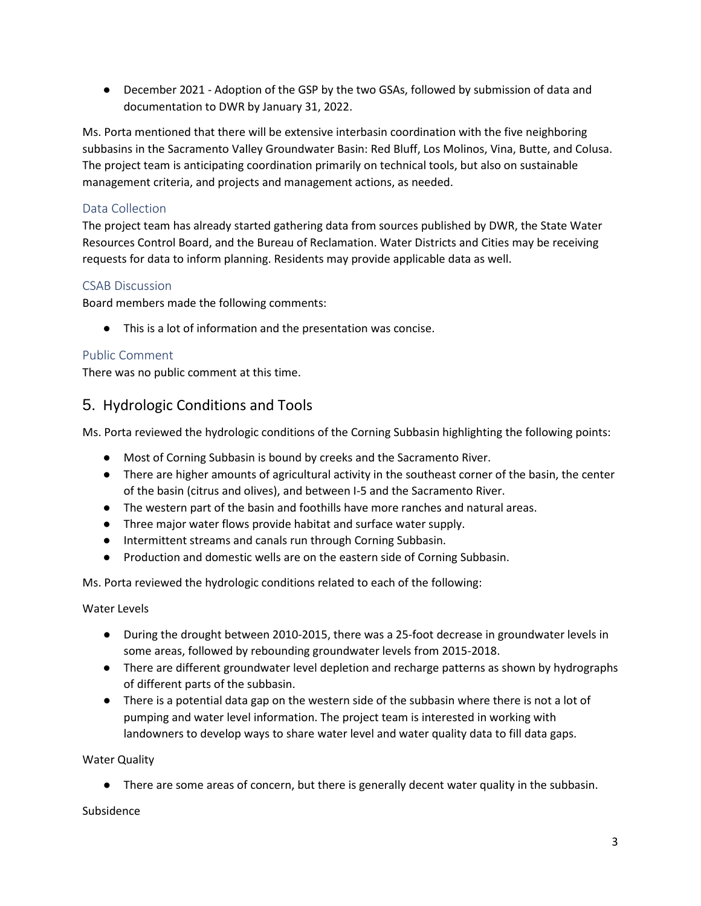● December 2021 - Adoption of the GSP by the two GSAs, followed by submission of data and documentation to DWR by January 31, 2022.

Ms. Porta mentioned that there will be extensive interbasin coordination with the five neighboring subbasins in the Sacramento Valley Groundwater Basin: Red Bluff, Los Molinos, Vina, Butte, and Colusa. The project team is anticipating coordination primarily on technical tools, but also on sustainable management criteria, and projects and management actions, as needed.

## Data Collection

The project team has already started gathering data from sources published by DWR, the State Water Resources Control Board, and the Bureau of Reclamation. Water Districts and Cities may be receiving requests for data to inform planning. Residents may provide applicable data as well.

## CSAB Discussion

Board members made the following comments:

● This is a lot of information and the presentation was concise.

## Public Comment

There was no public comment at this time.

# 5. Hydrologic Conditions and Tools

Ms. Porta reviewed the hydrologic conditions of the Corning Subbasin highlighting the following points:

- Most of Corning Subbasin is bound by creeks and the Sacramento River.
- There are higher amounts of agricultural activity in the southeast corner of the basin, the center of the basin (citrus and olives), and between I-5 and the Sacramento River.
- The western part of the basin and foothills have more ranches and natural areas.
- Three major water flows provide habitat and surface water supply.
- Intermittent streams and canals run through Corning Subbasin.
- Production and domestic wells are on the eastern side of Corning Subbasin.

Ms. Porta reviewed the hydrologic conditions related to each of the following:

#### Water Levels

- During the drought between 2010-2015, there was a 25-foot decrease in groundwater levels in some areas, followed by rebounding groundwater levels from 2015-2018.
- There are different groundwater level depletion and recharge patterns as shown by hydrographs of different parts of the subbasin.
- There is a potential data gap on the western side of the subbasin where there is not a lot of pumping and water level information. The project team is interested in working with landowners to develop ways to share water level and water quality data to fill data gaps.

#### Water Quality

● There are some areas of concern, but there is generally decent water quality in the subbasin.

#### Subsidence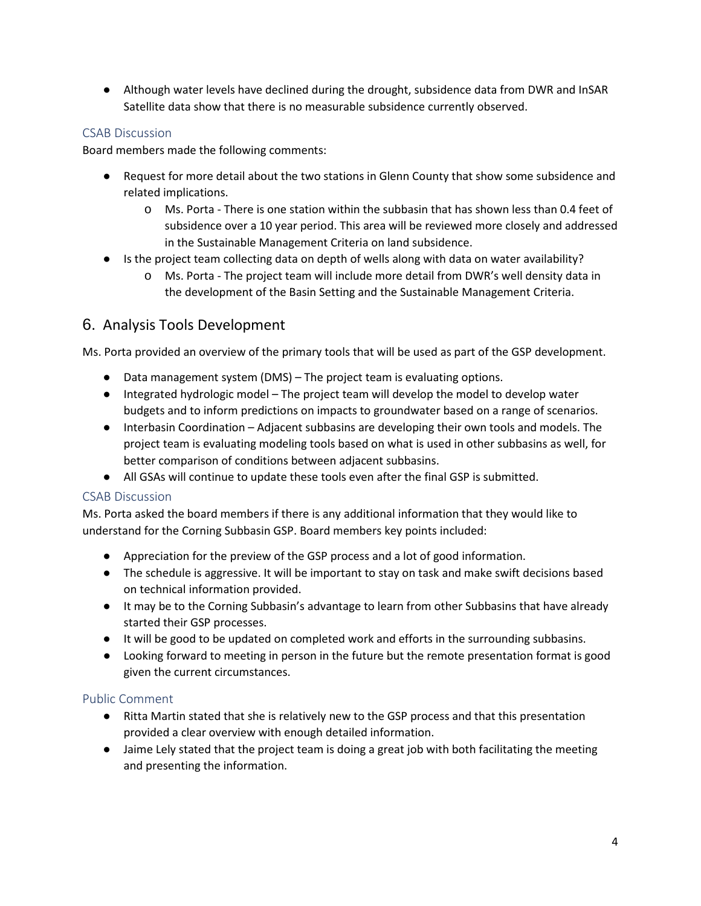● Although water levels have declined during the drought, subsidence data from DWR and InSAR Satellite data show that there is no measurable subsidence currently observed.

## CSAB Discussion

Board members made the following comments:

- Request for more detail about the two stations in Glenn County that show some subsidence and related implications.
	- o Ms. Porta There is one station within the subbasin that has shown less than 0.4 feet of subsidence over a 10 year period. This area will be reviewed more closely and addressed in the Sustainable Management Criteria on land subsidence.
- Is the project team collecting data on depth of wells along with data on water availability?
	- o Ms. Porta The project team will include more detail from DWR's well density data in the development of the Basin Setting and the Sustainable Management Criteria.

# 6. Analysis Tools Development

Ms. Porta provided an overview of the primary tools that will be used as part of the GSP development.

- Data management system (DMS) The project team is evaluating options.
- Integrated hydrologic model The project team will develop the model to develop water budgets and to inform predictions on impacts to groundwater based on a range of scenarios.
- Interbasin Coordination Adjacent subbasins are developing their own tools and models. The project team is evaluating modeling tools based on what is used in other subbasins as well, for better comparison of conditions between adjacent subbasins.
- All GSAs will continue to update these tools even after the final GSP is submitted.

## CSAB Discussion

Ms. Porta asked the board members if there is any additional information that they would like to understand for the Corning Subbasin GSP. Board members key points included:

- Appreciation for the preview of the GSP process and a lot of good information.
- The schedule is aggressive. It will be important to stay on task and make swift decisions based on technical information provided.
- It may be to the Corning Subbasin's advantage to learn from other Subbasins that have already started their GSP processes.
- It will be good to be updated on completed work and efforts in the surrounding subbasins.
- Looking forward to meeting in person in the future but the remote presentation format is good given the current circumstances.

## Public Comment

- Ritta Martin stated that she is relatively new to the GSP process and that this presentation provided a clear overview with enough detailed information.
- Jaime Lely stated that the project team is doing a great job with both facilitating the meeting and presenting the information.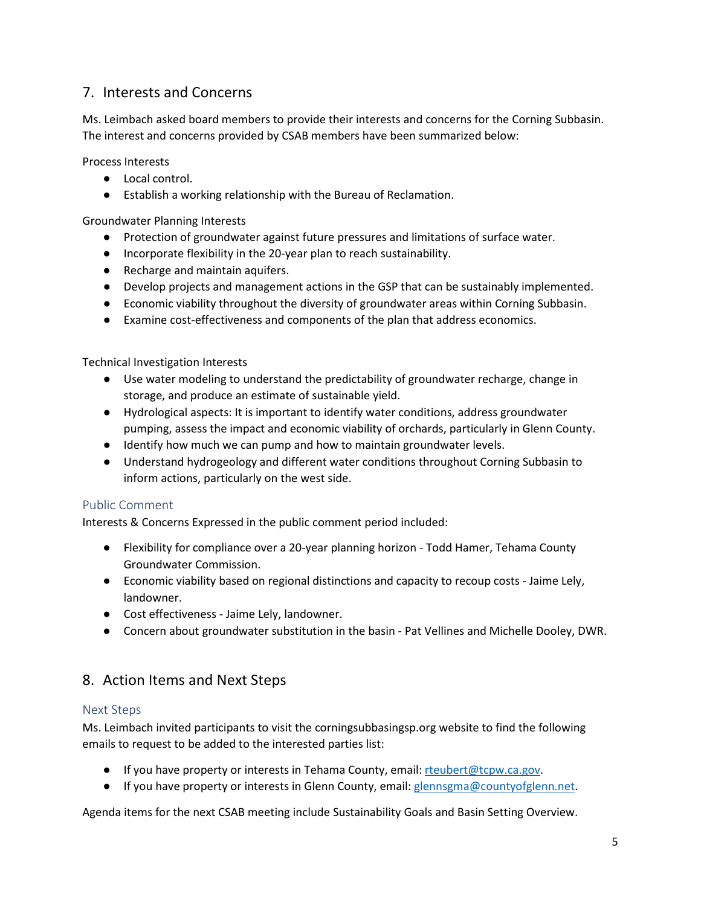# 7. Interests and Concerns

Ms. Leimbach asked board members to provide their interests and concerns for the Corning Subbasin. The interest and concerns provided by CSAB members have been summarized below:

Process Interests

- Local control.
- Establish a working relationship with the Bureau of Reclamation.

Groundwater Planning Interests

- Protection of groundwater against future pressures and limitations of surface water.
- Incorporate flexibility in the 20-year plan to reach sustainability.
- Recharge and maintain aquifers.
- Develop projects and management actions in the GSP that can be sustainably implemented.
- Economic viability throughout the diversity of groundwater areas within Corning Subbasin.
- Examine cost-effectiveness and components of the plan that address economics.

Technical Investigation Interests

- Use water modeling to understand the predictability of groundwater recharge, change in storage, and produce an estimate of sustainable yield.
- Hydrological aspects: It is important to identify water conditions, address groundwater pumping, assess the impact and economic viability of orchards, particularly in Glenn County.
- Identify how much we can pump and how to maintain groundwater levels.
- Understand hydrogeology and different water conditions throughout Corning Subbasin to inform actions, particularly on the west side.

#### Public Comment

Interests & Concerns Expressed in the public comment period included:

- Flexibility for compliance over a 20-year planning horizon Todd Hamer, Tehama County Groundwater Commission.
- Economic viability based on regional distinctions and capacity to recoup costs Jaime Lely, landowner.
- Cost effectiveness Jaime Lely, landowner.
- Concern about groundwater substitution in the basin Pat Vellines and Michelle Dooley, DWR.

## 8. Action Items and Next Steps

## Next Steps

Ms. Leimbach invited participants to visit the corningsubbasingsp.org website to find the following emails to request to be added to the interested parties list:

- $\bullet$  If you have property or interests in Tehama County, email: [rteubert@tcpw.ca.gov.](mailto:rteubert@tcpw.ca.gov)
- If you have property or interests in Glenn County, email: [glennsgma@countyofglenn.net.](mailto:glennsgma@countyofglenn.net)

Agenda items for the next CSAB meeting include Sustainability Goals and Basin Setting Overview.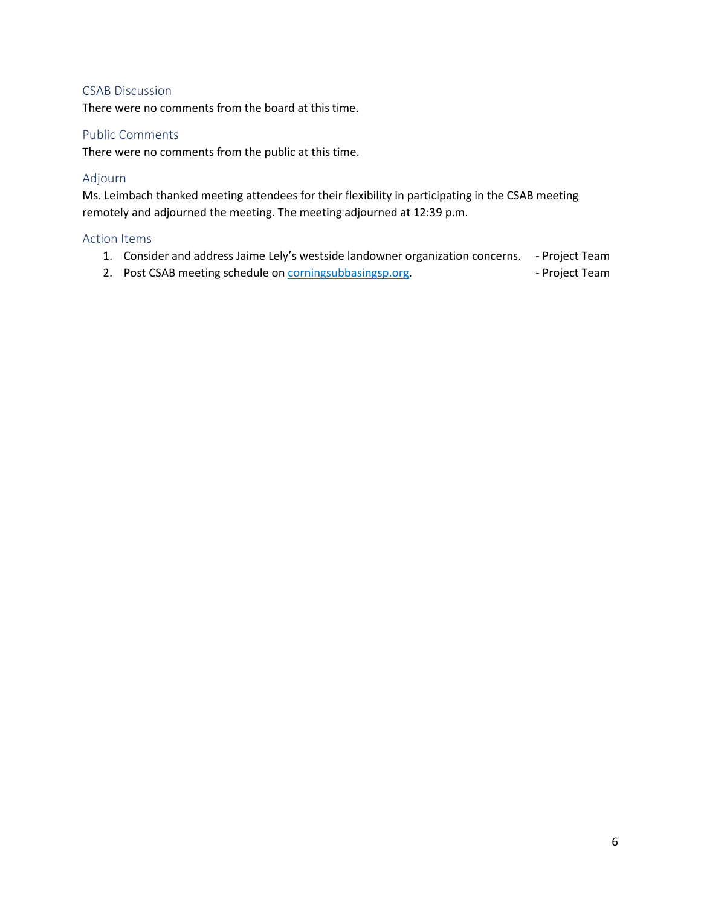## CSAB Discussion

There were no comments from the board at this time.

## Public Comments

There were no comments from the public at this time.

#### Adjourn

Ms. Leimbach thanked meeting attendees for their flexibility in participating in the CSAB meeting remotely and adjourned the meeting. The meeting adjourned at 12:39 p.m.

#### Action Items

- 1. Consider and address Jaime Lely's westside landowner organization concerns. Project Team
- 2. Post CSAB meeting schedule on **corningsubbasingsp.org.** The example of Project Team